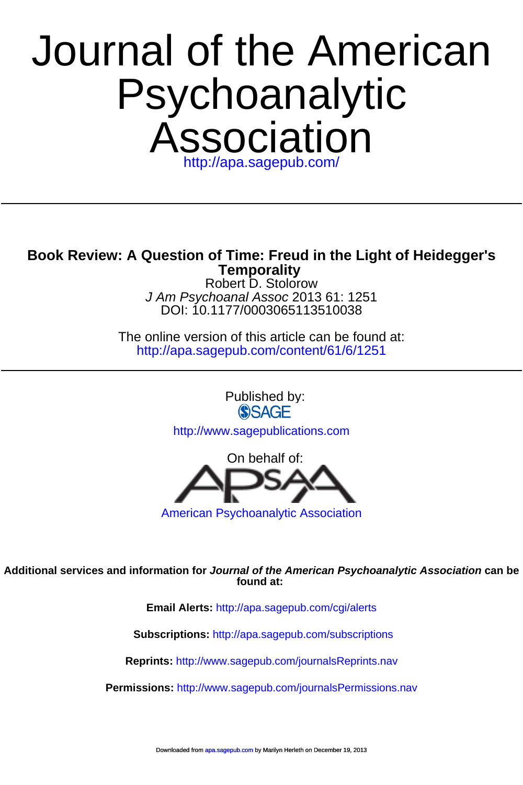## Association <http://apa.sagepub.com/> Psychoanalytic Journa[l of the Am](http://www.sagepublications.com)erican

**Temporality Book Review: A Question of Time: Freud in the Light of Heidegger's**

DOI: 10.1177/0003065113510038 J Am Psychoanal Assoc 2013 61: 1251 Robert D. Stolorow

<http://apa.sagepub.com/content/61/6/1251> The online version of this article can be found at:

> [Published by:](http://apa.sagepub.com/cgi/alerts)<br>
> SAGE <http://www.sagepublications.com> On behalf of:

[American Psychoanalytic Association](http://www.apsa.org)

**found at: Additional services and information for [Journal of the American Psychoanalytic A](http://www.sagepub.com/journalsPermissions.nav)ssociation can be**

**Email Alerts:** <http://apa.sagepub.com/cgi/alerts>

**Subscriptions:** <http://apa.sagepub.com/subscriptions>

**Reprints:** <http://www.sagepub.com/journalsReprints.nav>

**Permissions:** <http://www.sagepub.com/journalsPermissions.nav>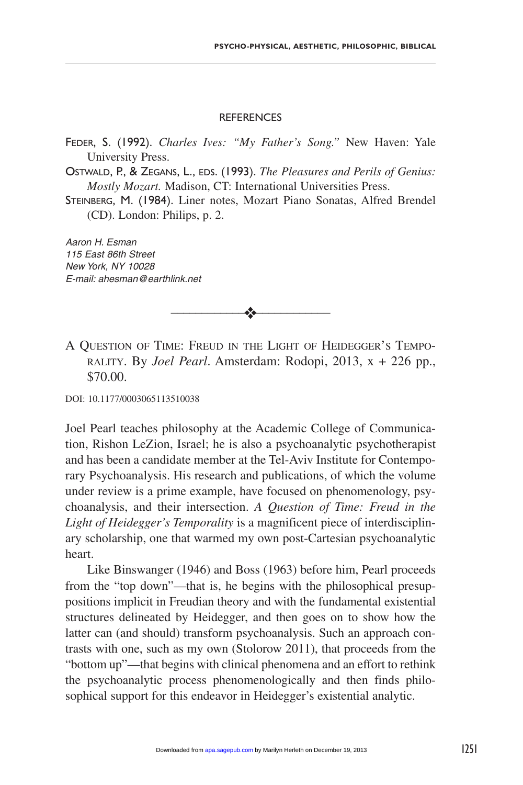## **REFERENCES**

- FEDER, S. (1992). *Charles Ives: "My Father's Song."* New Haven: Yale University Press.
- OSTWALD, P., & ZEGANS, L., EDS. (1993). *The Pleasures and Perils of Genius: Mostly Mozart.* Madison, CT: International Universities Press.
- STEINBERG, M. (1984). Liner notes, Mozart Piano Sonatas, Alfred Brendel (CD). London: Philips, p. 2.

*Aaron H. Esman 115 East 86th Street New York, NY 10028 E-mail: ahesman@earthlink.net*



A QUESTION OF TIME: FREUD IN THE LIGHT OF HEIDEGGER'S TEMPO-RALITY. By *Joel Pearl*. Amsterdam: Rodopi, 2013, x + 226 pp., \$70.00.

DOI: 10.1177/0003065113510038

Joel Pearl teaches philosophy at the Academic College of Communication, Rishon LeZion, Israel; he is also a psychoanalytic psychotherapist and has been a candidate member at the Tel-Aviv Institute for Contemporary Psychoanalysis. His research and publications, of which the volume under review is a prime example, have focused on phenomenology, psychoanalysis, and their intersection. *A Question of Time: Freud in the Light of Heidegger's Temporality* is a magnificent piece of interdisciplinary scholarship, one that warmed my own post-Cartesian psychoanalytic heart.

Like Binswanger (1946) and Boss (1963) before him, Pearl proceeds from the "top down"—that is, he begins with the philosophical presuppositions implicit in Freudian theory and with the fundamental existential structures delineated by Heidegger, and then goes on to show how the latter can (and should) transform psychoanalysis. Such an approach contrasts with one, such as my own (Stolorow 2011), that proceeds from the "bottom up"—that begins with clinical phenomena and an effort to rethink the psychoanalytic process phenomenologically and then finds philosophical support for this endeavor in Heidegger's existential analytic.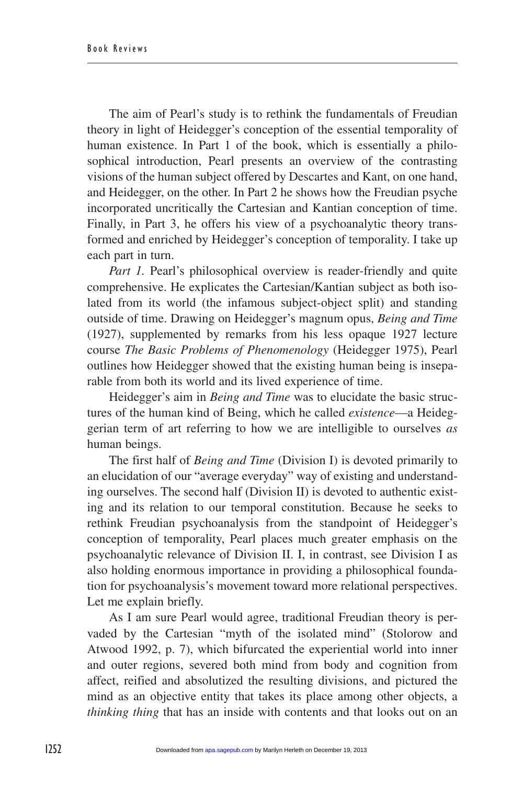The aim of Pearl's study is to rethink the fundamentals of Freudian theory in light of Heidegger's conception of the essential temporality of human existence. In Part 1 of the book, which is essentially a philosophical introduction, Pearl presents an overview of the contrasting visions of the human subject offered by Descartes and Kant, on one hand, and Heidegger, on the other. In Part 2 he shows how the Freudian psyche incorporated uncritically the Cartesian and Kantian conception of time. Finally, in Part 3, he offers his view of a psychoanalytic theory transformed and enriched by Heidegger's conception of temporality. I take up each part in turn.

*Part 1.* Pearl's philosophical overview is reader-friendly and quite comprehensive. He explicates the Cartesian/Kantian subject as both isolated from its world (the infamous subject-object split) and standing outside of time. Drawing on Heidegger's magnum opus, *Being and Time*  (1927), supplemented by remarks from his less opaque 1927 lecture course *The Basic Problems of Phenomenology* (Heidegger 1975), Pearl outlines how Heidegger showed that the existing human being is inseparable from both its world and its lived experience of time.

Heidegger's aim in *Being and Time* was to elucidate the basic structures of the human kind of Being, which he called *existence*—a Heideggerian term of art referring to how we are intelligible to ourselves *as* human beings.

The first half of *Being and Time* (Division I) is devoted primarily to an elucidation of our "average everyday" way of existing and understanding ourselves. The second half (Division II) is devoted to authentic existing and its relation to our temporal constitution. Because he seeks to rethink Freudian psychoanalysis from the standpoint of Heidegger's conception of temporality, Pearl places much greater emphasis on the psychoanalytic relevance of Division II. I, in contrast, see Division I as also holding enormous importance in providing a philosophical foundation for psychoanalysis's movement toward more relational perspectives. Let me explain briefly.

As I am sure Pearl would agree, traditional Freudian theory is pervaded by the Cartesian "myth of the isolated mind" (Stolorow and Atwood 1992, p. 7), which bifurcated the experiential world into inner and outer regions, severed both mind from body and cognition from affect, reified and absolutized the resulting divisions, and pictured the mind as an objective entity that takes its place among other objects, a *thinking thing* that has an inside with [contents an](http://apa.sagepub.com/)d that looks out on an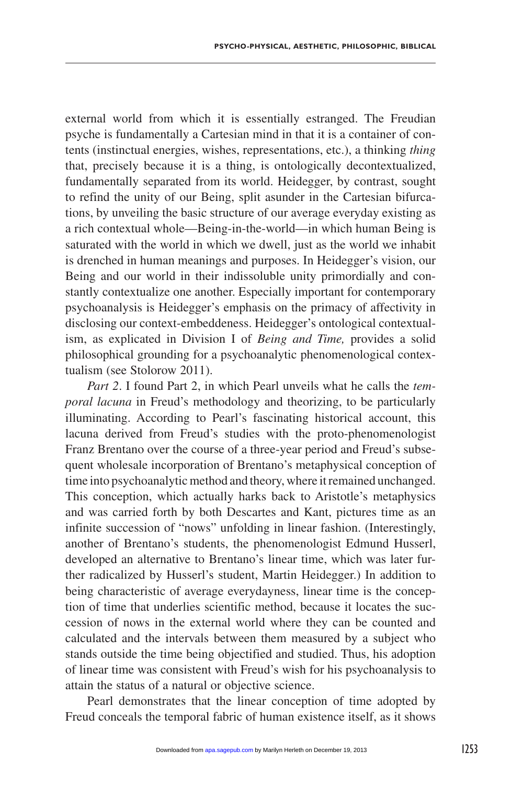external world from which it is essentially estranged. The Freudian psyche is fundamentally a Cartesian mind in that it is a container of contents (instinctual energies, wishes, representations, etc.), a thinking *thing* that, precisely because it is a thing, is ontologically decontextualized, fundamentally separated from its world. Heidegger, by contrast, sought to refind the unity of our Being, split asunder in the Cartesian bifurcations, by unveiling the basic structure of our average everyday existing as a rich contextual whole—Being-in-the-world—in which human Being is saturated with the world in which we dwell, just as the world we inhabit is drenched in human meanings and purposes. In Heidegger's vision, our Being and our world in their indissoluble unity primordially and constantly contextualize one another. Especially important for contemporary psychoanalysis is Heidegger's emphasis on the primacy of affectivity in disclosing our context-embeddeness. Heidegger's ontological contextualism, as explicated in Division I of *Being and Time,* provides a solid philosophical grounding for a psychoanalytic phenomenological contextualism (see Stolorow 2011).

*Part 2*. I found Part 2, in which Pearl unveils what he calls the *temporal lacuna* in Freud's methodology and theorizing, to be particularly illuminating. According to Pearl's fascinating historical account, this lacuna derived from Freud's studies with the proto-phenomenologist Franz Brentano over the course of a three-year period and Freud's subsequent wholesale incorporation of Brentano's metaphysical conception of time into psychoanalytic method and theory, where it remained unchanged. This conception, which actually harks back to Aristotle's metaphysics and was carried forth by both Descartes and Kant, pictures time as an infinite succession of "nows" unfolding in linear fashion. (Interestingly, another of Brentano's students, the phenomenologist Edmund Husserl, developed an alternative to Brentano's linear time, which was later further radicalized by Husserl's student, Martin Heidegger.) In addition to being characteristic of average everydayness, linear time is the conception of time that underlies scientific method, because it locates the succession of nows in the external world where they can be counted and calculated and the intervals between them measured by a subject who stands outside the time being objectified and studied. Thus, his adoption of linear time was consistent with Freud's wish for his psychoanalysis to attain the status of a natural or objective science.

Pearl demonstrates that the linear conception of time adopted by Freud conceals the temporal fabric of huma[n existence](http://apa.sagepub.com/) itself, as it shows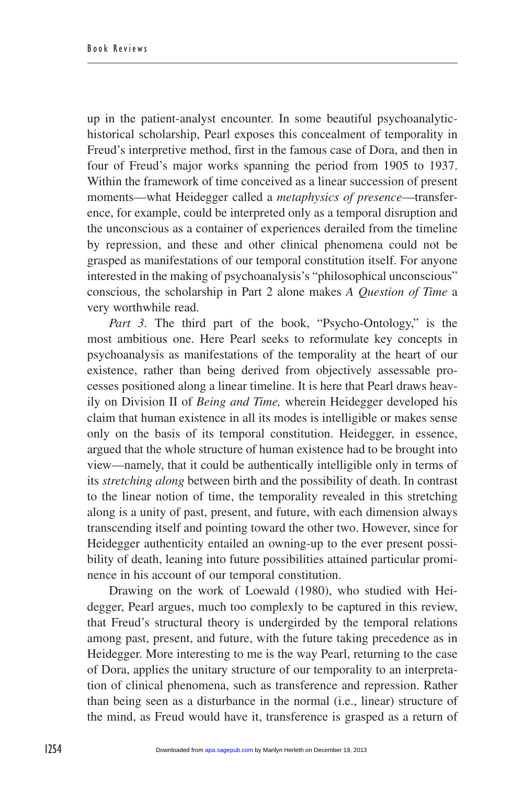up in the patient-analyst encounter. In some beautiful psychoanalytichistorical scholarship, Pearl exposes this concealment of temporality in Freud's interpretive method, first in the famous case of Dora, and then in four of Freud's major works spanning the period from 1905 to 1937. Within the framework of time conceived as a linear succession of present moments—what Heidegger called a *metaphysics of presence*—transference, for example, could be interpreted only as a temporal disruption and the unconscious as a container of experiences derailed from the timeline by repression, and these and other clinical phenomena could not be grasped as manifestations of our temporal constitution itself. For anyone interested in the making of psychoanalysis's "philosophical unconscious" conscious, the scholarship in Part 2 alone makes *A Question of Time* a very worthwhile read.

*Part 3.* The third part of the book, "Psycho-Ontology," is the most ambitious one. Here Pearl seeks to reformulate key concepts in psychoanalysis as manifestations of the temporality at the heart of our existence, rather than being derived from objectively assessable processes positioned along a linear timeline. It is here that Pearl draws heavily on Division II of *Being and Time,* wherein Heidegger developed his claim that human existence in all its modes is intelligible or makes sense only on the basis of its temporal constitution. Heidegger, in essence, argued that the whole structure of human existence had to be brought into view—namely, that it could be authentically intelligible only in terms of its *stretching along* between birth and the possibility of death. In contrast to the linear notion of time, the temporality revealed in this stretching along is a unity of past, present, and future, with each dimension always transcending itself and pointing toward the other two. However, since for Heidegger authenticity entailed an owning-up to the ever present possibility of death, leaning into future possibilities attained particular prominence in his account of our temporal constitution.

Drawing on the work of Loewald (1980), who studied with Heidegger, Pearl argues, much too complexly to be captured in this review, that Freud's structural theory is undergirded by the temporal relations among past, present, and future, with the future taking precedence as in Heidegger. More interesting to me is the way Pearl, returning to the case of Dora, applies the unitary structure of our temporality to an interpretation of clinical phenomena, such as transference and repression. Rather than being seen as a disturbance in the normal (i.e., linear) structure of the mind, as Freud would have it, tran[sference is](http://apa.sagepub.com/) grasped as a return of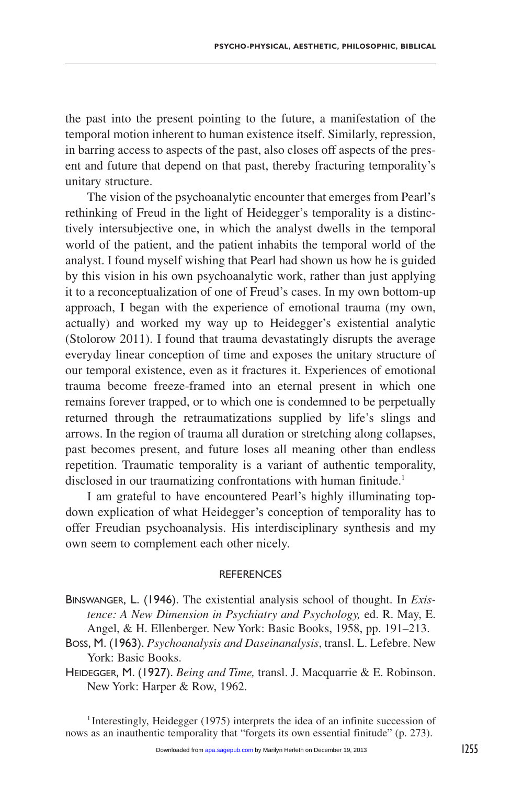the past into the present pointing to the future, a manifestation of the temporal motion inherent to human existence itself. Similarly, repression, in barring access to aspects of the past, also closes off aspects of the present and future that depend on that past, thereby fracturing temporality's unitary structure.

The vision of the psychoanalytic encounter that emerges from Pearl's rethinking of Freud in the light of Heidegger's temporality is a distinctively intersubjective one, in which the analyst dwells in the temporal world of the patient, and the patient inhabits the temporal world of the analyst. I found myself wishing that Pearl had shown us how he is guided by this vision in his own psychoanalytic work, rather than just applying it to a reconceptualization of one of Freud's cases. In my own bottom-up approach, I began with the experience of emotional trauma (my own, actually) and worked my way up to Heidegger's existential analytic (Stolorow 2011). I found that trauma devastatingly disrupts the average everyday linear conception of time and exposes the unitary structure of our temporal existence, even as it fractures it. Experiences of emotional trauma become freeze-framed into an eternal present in which one remains forever trapped, or to which one is condemned to be perpetually returned through the retraumatizations supplied by life's slings and arrows. In the region of trauma all duration or stretching along collapses, past becomes present, and future loses all meaning other than endless repetition. Traumatic temporality is a variant of authentic temporality, disclosed in our traumatizing confrontations with human finitude.<sup>1</sup>

I am grateful to have encountered Pearl's highly illuminating topdown explication of what Heidegger's conception of temporality has to offer Freudian psychoanalysis. His interdisciplinary synthesis and my own seem to complement each other nicely.

## **REFERENCES**

BINSWANGER, L. (1946). The existential analysis school of thought. In *Existence: A New Dimension in Psychiatry and Psychology,* ed. R. May, E. Angel, & H. Ellenberger. New York: Basic Books, 1958, pp. 191–213.

HEIDEGGER, M. (1927). *Being and Time,* transl. J. Macquarrie & E. Robinson. New York: Harper & Row, 1962.

<sup>1</sup> Interestingly, Heidegger (1975) interprets th[e idea of an i](http://apa.sagepub.com/)nfinite succession of nows as an inauthentic temporality that "forgets its own essential finitude" (p. 273).

BOSS, M. (1963). *Psychoanalysis and Daseinanalysis*, transl. L. Lefebre. New York: Basic Books.